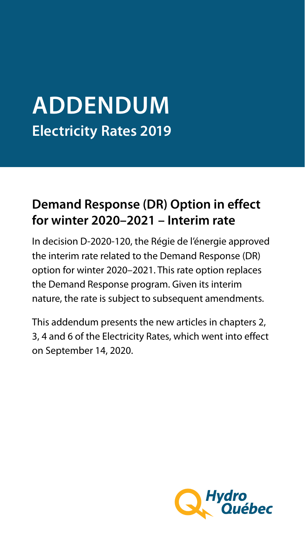# **ADDENDUM Electricity Rates 2019**

### **Demand Response (DR) Option in effect for winter 2020–2021 – Interim rate**

In decision D-2020-120, the Régie de l'énergie approved the interim rate related to the Demand Response (DR) option for winter 2020–2021. This rate option replaces the Demand Response program. Given its interim nature, the rate is subject to subsequent amendments.

This addendum presents the new articles in chapters 2, 3, 4 and 6 of the Electricity Rates, which went into effect on September 14, 2020.

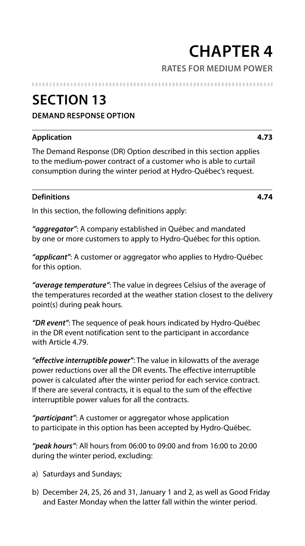### **CHAPTER 4 RATES FOR MEDIUM POWER**

#### 

### **SECTION 13**

#### **DEMAND RESPONSE OPTION**

#### **Application 4.73**

The Demand Response (DR) Option described in this section applies to the medium-power contract of a customer who is able to curtail consumption during the winter period at Hydro-Québec's request.

#### **Definitions 4.74**

In this section, the following definitions apply:

*"aggregator"*: A company established in Québec and mandated by one or more customers to apply to Hydro-Québec for this option.

*"applicant"*: A customer or aggregator who applies to Hydro-Québec for this option.

*"average temperature"*: The value in degrees Celsius of the average of the temperatures recorded at the weather station closest to the delivery point(s) during peak hours.

*"DR event"*: The sequence of peak hours indicated by Hydro-Québec in the DR event notification sent to the participant in accordance with Article 4.79.

*"effective interruptible power"*: The value in kilowatts of the average power reductions over all the DR events. The effective interruptible power is calculated after the winter period for each service contract. If there are several contracts, it is equal to the sum of the effective interruptible power values for all the contracts.

*"participant"*: A customer or aggregator whose application to participate in this option has been accepted by Hydro-Québec.

*"peak hours"*: All hours from 06:00 to 09:00 and from 16:00 to 20:00 during the winter period, excluding:

- a) Saturdays and Sundays;
- b) December 24, 25, 26 and 31, January 1 and 2, as well as Good Friday and Easter Monday when the latter fall within the winter period.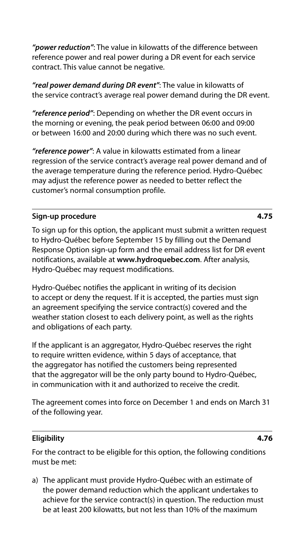*"power reduction"*: The value in kilowatts of the difference between reference power and real power during a DR event for each service contract. This value cannot be negative.

*"real power demand during DR event"*: The value in kilowatts of the service contract's average real power demand during the DR event.

*"reference period"*: Depending on whether the DR event occurs in the morning or evening, the peak period between 06:00 and 09:00 or between 16:00 and 20:00 during which there was no such event.

*"reference power"*: A value in kilowatts estimated from a linear regression of the service contract's average real power demand and of the average temperature during the reference period. Hydro-Québec may adjust the reference power as needed to better reflect the customer's normal consumption profile.

#### **Sign-up procedure 4.75**

To sign up for this option, the applicant must submit a written request to Hydro-Québec before September 15 by filling out the Demand Response Option sign-up form and the email address list for DR event notifications, available at **www.hydroquebec.com**. After analysis, Hydro-Québec may request modifications.

Hydro-Québec notifies the applicant in writing of its decision to accept or deny the request. If it is accepted, the parties must sign an agreement specifying the service contract(s) covered and the weather station closest to each delivery point, as well as the rights and obligations of each party.

If the applicant is an aggregator, Hydro-Québec reserves the right to require written evidence, within 5 days of acceptance, that the aggregator has notified the customers being represented that the aggregator will be the only party bound to Hydro-Québec, in communication with it and authorized to receive the credit.

The agreement comes into force on December 1 and ends on March 31 of the following year.

#### **Eligibility 4.76**

For the contract to be eligible for this option, the following conditions must be met:

a) The applicant must provide Hydro-Québec with an estimate of the power demand reduction which the applicant undertakes to achieve for the service contract(s) in question. The reduction must be at least 200 kilowatts, but not less than 10% of the maximum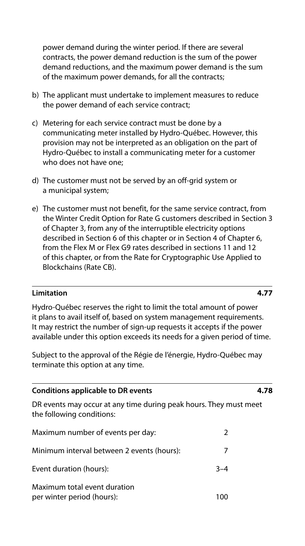power demand during the winter period. If there are several contracts, the power demand reduction is the sum of the power demand reductions, and the maximum power demand is the sum of the maximum power demands, for all the contracts;

- b) The applicant must undertake to implement measures to reduce the power demand of each service contract;
- c) Metering for each service contract must be done by a communicating meter installed by Hydro-Québec. However, this provision may not be interpreted as an obligation on the part of Hydro-Québec to install a communicating meter for a customer who does not have one;
- d) The customer must not be served by an off-grid system or a municipal system;
- e) The customer must not benefit, for the same service contract, from the Winter Credit Option for Rate G customers described in Section 3 of Chapter 3, from any of the interruptible electricity options described in Section 6 of this chapter or in Section 4 of Chapter 6, from the Flex M or Flex G9 rates described in sections 11 and 12 of this chapter, or from the Rate for Cryptographic Use Applied to Blockchains (Rate CB).

#### **Limitation 4.77**

Hydro-Québec reserves the right to limit the total amount of power it plans to avail itself of, based on system management requirements. It may restrict the number of sign-up requests it accepts if the power available under this option exceeds its needs for a given period of time.

Subject to the approval of the Régie de l'énergie, Hydro-Québec may terminate this option at any time.

| Conditions applicable to DR events                                                             |         | 4.78 |
|------------------------------------------------------------------------------------------------|---------|------|
| DR events may occur at any time during peak hours. They must meet<br>the following conditions: |         |      |
| Maximum number of events per day:                                                              | 2       |      |
| Minimum interval between 2 events (hours):                                                     | 7       |      |
| Event duration (hours):                                                                        | $3 - 4$ |      |
| Maximum total event duration<br>per winter period (hours):                                     | 100     |      |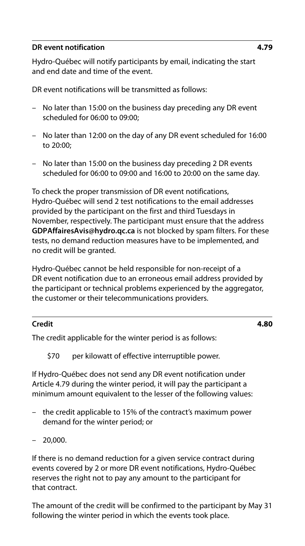#### **DR event notification 4.79**

Hydro-Québec will notify participants by email, indicating the start and end date and time of the event.

DR event notifications will be transmitted as follows:

- No later than 15:00 on the business day preceding any DR event scheduled for 06:00 to 09:00;
- No later than 12:00 on the day of any DR event scheduled for 16:00 to 20:00;
- No later than 15:00 on the business day preceding 2 DR events scheduled for 06:00 to 09:00 and 16:00 to 20:00 on the same day.

To check the proper transmission of DR event notifications, Hydro-Québec will send 2 test notifications to the email addresses provided by the participant on the first and third Tuesdays in November, respectively. The participant must ensure that the address **GDPAffairesAvis@hydro.qc.ca** is not blocked by spam filters. For these tests, no demand reduction measures have to be implemented, and no credit will be granted.

Hydro-Québec cannot be held responsible for non-receipt of a DR event notification due to an erroneous email address provided by the participant or technical problems experienced by the aggregator, the customer or their telecommunications providers.

#### **Credit 4.80**

The credit applicable for the winter period is as follows:

\$70 per kilowatt of effective interruptible power.

If Hydro-Québec does not send any DR event notification under Article 4.79 during the winter period, it will pay the participant a minimum amount equivalent to the lesser of the following values:

- the credit applicable to 15% of the contract's maximum power demand for the winter period; or
- 20,000.

If there is no demand reduction for a given service contract during events covered by 2 or more DR event notifications, Hydro-Québec reserves the right not to pay any amount to the participant for that contract.

The amount of the credit will be confirmed to the participant by May 31 following the winter period in which the events took place.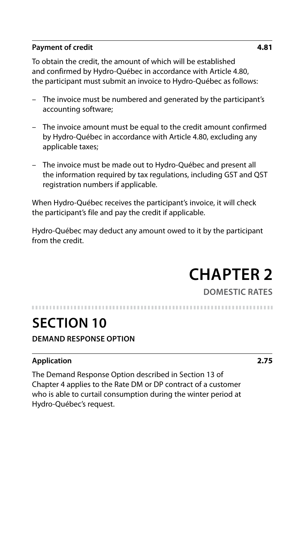#### **Payment of credit 4.81**

To obtain the credit, the amount of which will be established and confirmed by Hydro-Québec in accordance with Article 4.80, the participant must submit an invoice to Hydro-Québec as follows:

- The invoice must be numbered and generated by the participant's accounting software;
- The invoice amount must be equal to the credit amount confirmed by Hydro-Québec in accordance with Article 4.80, excluding any applicable taxes;
- The invoice must be made out to Hydro-Québec and present all the information required by tax regulations, including GST and QST registration numbers if applicable.

When Hydro-Québec receives the participant's invoice, it will check the participant's file and pay the credit if applicable.

Hydro-Québec may deduct any amount owed to it by the participant from the credit.



**DOMESTIC RATES**

## **SECTION 10**

**DEMAND RESPONSE OPTION**

### **Application 2.75**

The Demand Response Option described in Section 13 of Chapter 4 applies to the Rate DM or DP contract of a customer who is able to curtail consumption during the winter period at Hydro-Québec's request.